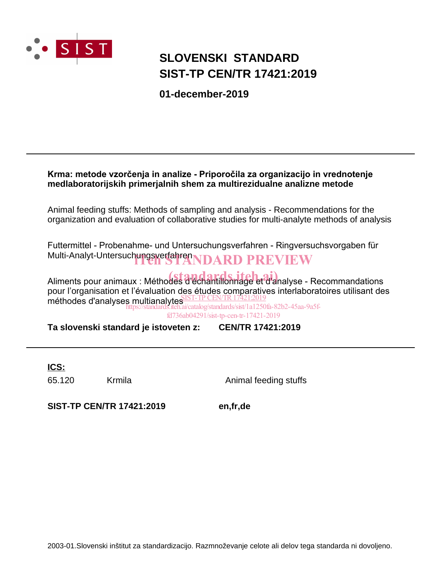

# **SLOVENSKI STANDARD SIST-TP CEN/TR 17421:2019**

**01-december-2019**

#### **Krma: metode vzorčenja in analize - Priporočila za organizacijo in vrednotenje medlaboratorijskih primerjalnih shem za multirezidualne analizne metode**

Animal feeding stuffs: Methods of sampling and analysis - Recommendations for the organization and evaluation of collaborative studies for multi-analyte methods of analysis

Futtermittel - Probenahme- und Untersuchungsverfahren - Ringversuchsvorgaben für Multi-Analyt-Untersuchungsverfahren NDARD PREVIEW

Aliments pour animaux : Méthodes d'échantillonnage et d'analyse - Recommandations pour l'organisation et l'évaluation des études comparatives interlaboratoires utilisant des méthodes d'analyses multianalytes SIST-TP CEN/TR17421:2019 https://standards.iteh.ai/catalog/standards/sist/1a1250fa-82b2-45aa-9a5f-

fd736ab04291/sist-tp-cen-tr-17421-2019

**Ta slovenski standard je istoveten z: CEN/TR 17421:2019**

**ICS:**

65.120 Krmila Animal feeding stuffs

**SIST-TP CEN/TR 17421:2019 en,fr,de**

2003-01.Slovenski inštitut za standardizacijo. Razmnoževanje celote ali delov tega standarda ni dovoljeno.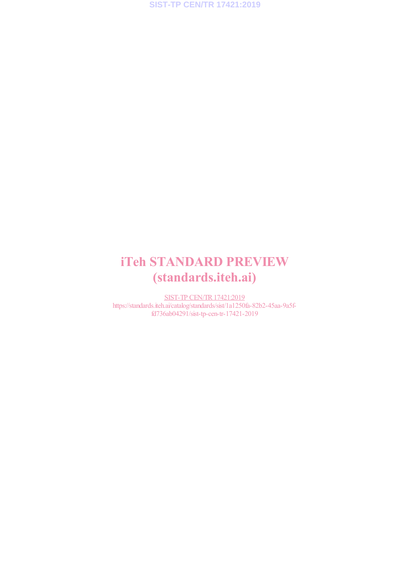# iTeh STANDARD PREVIEW (standards.iteh.ai)

SIST-TP CEN/TR 17421:2019 https://standards.iteh.ai/catalog/standards/sist/1a1250fa-82b2-45aa-9a5ffd736ab04291/sist-tp-cen-tr-17421-2019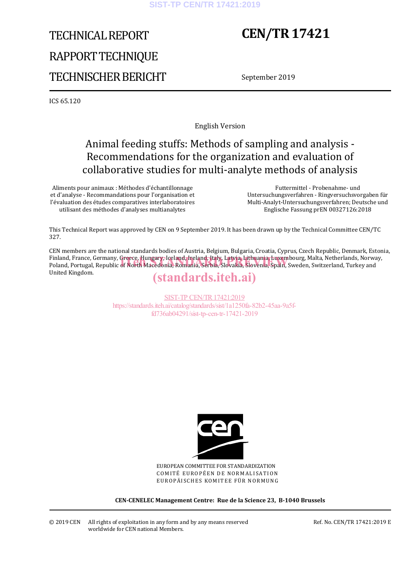# TECHNICAL REPORT RAPPORT TECHNIQUE TECHNISCHER BERICHT

# **CEN/TR 17421**

September 2019

ICS 65.120

English Version

# Animal feeding stuffs: Methods of sampling and analysis - Recommendations for the organization and evaluation of collaborative studies for multi-analyte methods of analysis

Aliments pour animaux : Méthodes d'échantillonnage et d'analyse - Recommandations pour l'organisation et l'évaluation des études comparatives interlaboratoires utilisant des méthodes d'analyses multianalytes

 Futtermittel - Probenahme- und Untersuchungsverfahren - Ringversuchsvorgaben für Multi-Analyt-Untersuchungsverfahren; Deutsche und Englische Fassung prEN 00327126:2018

This Technical Report was approved by CEN on 9 September 2019. It has been drawn up by the Technical Committee CEN/TC 327.

CEN members are the national standards bodies of Austria, Belgium, Bulgaria, Croatia, Cyprus, Czech Republic, Denmark, Estonia, Finland, France, Germany, Greece, Hungary, Iceland, Ireland, Italy, Latvia, Lithuania, Luxembourg, Malta, Netherlands, Norway, Finland, France, Germany, Greece, Hungary, Iceland, Ireland, Italy, Latvia, Lithuania, Luxembourg, Malta, Netherlands, Norwa<br>Poland, Portugal, Republic of North Macedonia, Romania, Serbia, Slovakia, Slovenia, Spain, Sweden United Kingdom.

## (standards.iteh.ai)

SIST-TP CEN/TR17421:2019 https://standards.iteh.ai/catalog/standards/sist/1a1250fa-82b2-45aa-9a5ffd736ab04291/sist-tp-cen-tr-17421-2019



EUROPEAN COMMITTEE FOR STANDARDIZATION COMITÉ EUROPÉEN DE NORMALISATION EUROPÄISCHES KOMITEE FÜR NORMUNG

**CEN-CENELEC Management Centre: Rue de la Science 23, B-1040 Brussels** 

© 2019 CEN All rights of exploitation in any form and by any means reserved worldwide for CEN national Members.

Ref. No. CEN/TR 17421:2019 E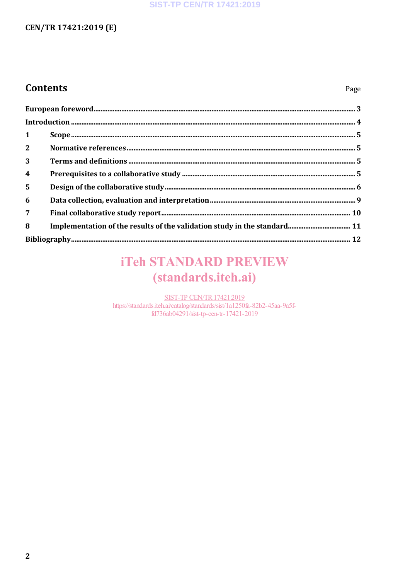#### **SIST-TP CEN/TR 17421:2019**

### CEN/TR 17421:2019 (E)

## **Contents**

| $1\phantom{0}$          |  |  |
|-------------------------|--|--|
| $2^{\circ}$             |  |  |
| 3 <sup>1</sup>          |  |  |
| $\overline{\mathbf{4}}$ |  |  |
| $\overline{5}$          |  |  |
| 6                       |  |  |
| 7 <sup>7</sup>          |  |  |
| 8                       |  |  |
|                         |  |  |

# **iTeh STANDARD PREVIEW** (standards.iteh.ai)

**SIST-TP CEN/TR 17421:2019** https://standards.iteh.ai/catalog/standards/sist/1a1250fa-82b2-45aa-9a5ffd736ab04291/sist-tp-cen-tr-17421-2019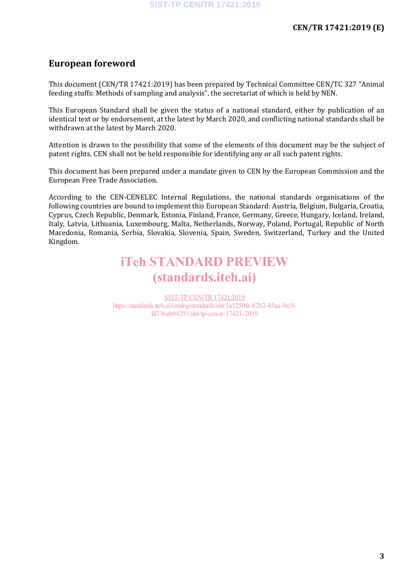## **European foreword**

This document (CEN/TR 17421:2019) has been prepared by Technical Committee CEN/TC 327 "Animal feeding stuffs: Methods of sampling and analysis", the secretariat of which is held by NEN.

This European Standard shall be given the status of a national standard, either by publication of an identical text or by endorsement, at the latest by March 2020, and conflicting national standards shall be withdrawn at the latest by March 2020.

Attention is drawn to the possibility that some of the elements of this document may be the subject of patent rights. CEN shall not be held responsible for identifying any or all such patent rights.

This document has been prepared under a mandate given to CEN by the European Commission and the European Free Trade Association.

According to the CEN-CENELEC Internal Regulations, the national standards organisations of the following countries are bound to implement this European Standard: Austria, Belgium, Bulgaria, Croatia, Cyprus, Czech Republic, Denmark, Estonia, Finland, France, Germany, Greece, Hungary, Iceland, Ireland, Italy, Latvia, Lithuania, Luxembourg, Malta, Netherlands, Norway, Poland, Portugal, Republic of North Macedonia, Romania, Serbia, Slovakia, Slovenia, Spain, Sweden, Switzerland, Turkey and the United Kingdom.

# iTeh STANDARD PREVIEW (standards.iteh.ai)

SIST-TP CEN/TR17421:2019 https://standards.iteh.ai/catalog/standards/sist/1a1250fa-82b2-45aa-9a5ffd736ab04291/sist-tp-cen-tr-17421-2019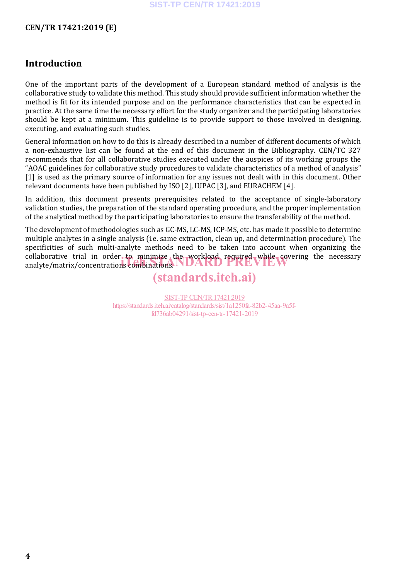#### **Introduction**

One of the important parts of the development of a European standard method of analysis is the collaborative study to validate this method. This study should provide sufficient information whether the method is fit for its intended purpose and on the performance characteristics that can be expected in practice. At the same time the necessary effort for the study organizer and the participating laboratories should be kept at a minimum. This guideline is to provide support to those involved in designing, executing, and evaluating such studies.

General information on how to do this is already described in a number of different documents of which a non-exhaustive list can be found at the end of this document in the Bibliography. CEN/TC 327 recommends that for all collaborative studies executed under the auspices of its working groups the "AOAC guidelines for collaborative study procedures to validate characteristics of a method of analysis" [1] is used as the primary source of information for any issues not dealt with in this document. Other relevant documents have been published by ISO [2], IUPAC [3], and EURACHEM [4].

In addition, this document presents prerequisites related to the acceptance of single-laboratory validation studies, the preparation of the standard operating procedure, and the proper implementation of the analytical method by the participating laboratories to ensure the transferability of the method.

The development of methodologies such as GC-MS, LC-MS, ICP-MS, etc. has made it possible to determine multiple analytes in a single analysis (i.e. same extraction, clean up, and determination procedure). The specificities of such multi-analyte methods need to be taken into account when organizing the collaborative trial in order to minimize the workload required while covering the necessary collaborative trial in order to minimize the workload required while cover<br>analyte/matrix/concentrations combinations.

# (standards.iteh.ai)

SIST-TP CEN/TR17421:2019 https://standards.iteh.ai/catalog/standards/sist/1a1250fa-82b2-45aa-9a5ffd736ab04291/sist-tp-cen-tr-17421-2019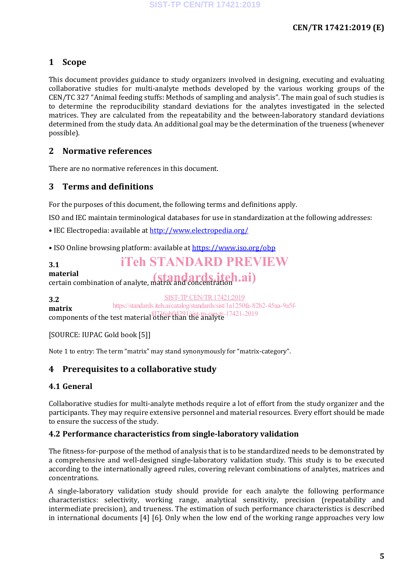#### **1 Scope**

This document provides guidance to study organizers involved in designing, executing and evaluating collaborative studies for multi-analyte methods developed by the various working groups of the CEN/TC 327 "Animal feeding stuffs: Methods of sampling and analysis". The main goal of such studies is to determine the reproducibility standard deviations for the analytes investigated in the selected matrices. They are calculated from the repeatability and the between-laboratory standard deviations determined from the study data. An additional goal may be the determination of the trueness (whenever possible).

### **2 Normative references**

There are no normative references in this document.

### **3 Terms and definitions**

For the purposes of this document, the following terms and definitions apply.

ISO and IEC maintain terminological databases for use in standardization at the following addresses:

• IEC Electropedia: available at http://www.electropedia.org/

• ISO Online browsing platform: available at https://www.iso.org/obp

**3.1 material** material<br>certain combination of analyte, matrix and concentration **.ai**) iTeh STANDARD PREVIEW

**3.2 matrix components of the test material other than the analyte** 17421-2019 SIST-TP CEN/TR17421:2019 https://standards.iteh.ai/catalog/standards/sist/1a1250fa-82b2-45aa-9a5f-

[SOURCE: IUPAC Gold book [5]]

Note 1 to entry: The term "matrix" may stand synonymously for "matrix-category".

#### **4 Prerequisites to a collaborative study**

#### **4.1 General**

Collaborative studies for multi-analyte methods require a lot of effort from the study organizer and the participants. They may require extensive personnel and material resources. Every effort should be made to ensure the success of the study.

#### **4.2 Performance characteristics from single-laboratory validation**

The fitness-for-purpose of the method of analysis that is to be standardized needs to be demonstrated by a comprehensive and well-designed single-laboratory validation study. This study is to be executed according to the internationally agreed rules, covering relevant combinations of analytes, matrices and concentrations.

A single-laboratory validation study should provide for each analyte the following performance characteristics: selectivity, working range, analytical sensitivity, precision (repeatability and intermediate precision), and trueness. The estimation of such performance characteristics is described in international documents [4] [6]. Only when the low end of the working range approaches very low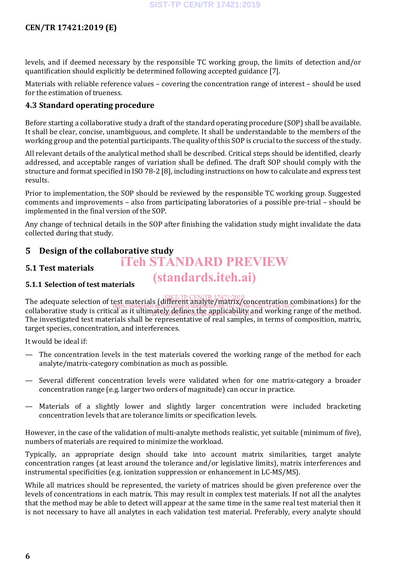levels, and if deemed necessary by the responsible TC working group, the limits of detection and/or quantification should explicitly be determined following accepted guidance [7].

Materials with reliable reference values – covering the concentration range of interest – should be used for the estimation of trueness.

#### **4.3 Standard operating procedure**

Before starting a collaborative study a draft of the standard operating procedure (SOP) shall be available. It shall be clear, concise, unambiguous, and complete. It shall be understandable to the members of the working group and the potential participants. The quality of this SOP is crucial to the success of the study.

All relevant details of the analytical method shall be described. Critical steps should be identified, clearly addressed, and acceptable ranges of variation shall be defined. The draft SOP should comply with the structure and format specified in ISO 78-2 [8], including instructions on how to calculate and express test results.

Prior to implementation, the SOP should be reviewed by the responsible TC working group. Suggested comments and improvements – also from participating laboratories of a possible pre-trial – should be implemented in the final version of the SOP.

Any change of technical details in the SOP after finishing the validation study might invalidate the data collected during that study.

#### **5 Design of the collaborative study**

# iTeh STANDARD PREVIEW

(standards.iteh.ai)

## **5.1 Test materials**

#### **5.1.1 Selection of test materials**

The adequate selection of test materials (different analyte/matrix/concentration combinations) for the collaborative study is critical as it ultimately defines the applicability and working range of the method.<br>The contract of the method. The investigated test materials shall be representative of real samples, in terms of composition, matrix, target species, concentration, and interferences. SIST-TP CEN/TR 17421:2019 https://standards.iteh.ai/catalog/standards/sist/1a1250fa-82b2-45aa-9a5f-

It would be ideal if:

- The concentration levels in the test materials covered the working range of the method for each analyte/matrix-category combination as much as possible.
- Several different concentration levels were validated when for one matrix-category a broader concentration range (e.g. larger two orders of magnitude) can occur in practice.
- Materials of a slightly lower and slightly larger concentration were included bracketing concentration levels that are tolerance limits or specification levels.

However, in the case of the validation of multi-analyte methods realistic, yet suitable (minimum of five), numbers of materials are required to minimize the workload.

Typically, an appropriate design should take into account matrix similarities, target analyte concentration ranges (at least around the tolerance and/or legislative limits), matrix interferences and instrumental specificities (e.g. ionization suppression or enhancement in LC-MS/MS).

While all matrices should be represented, the variety of matrices should be given preference over the levels of concentrations in each matrix. This may result in complex test materials. If not all the analytes that the method may be able to detect will appear at the same time in the same real test material then it is not necessary to have all analytes in each validation test material. Preferably, every analyte should